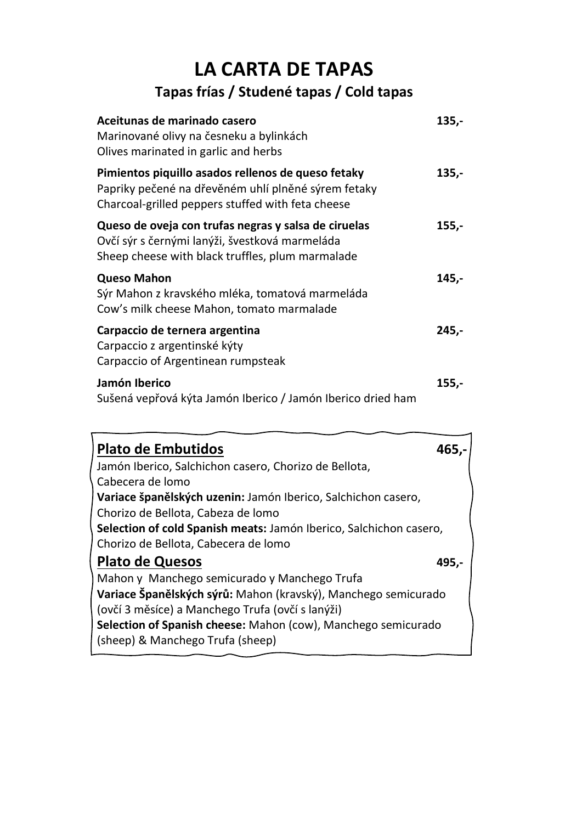### **LA CARTA DE TAPAS Tapas frías / Studené tapas / Cold tapas**

| Aceitunas de marinado casero<br>Marinované olivy na česneku a bylinkách<br>Olives marinated in garlic and herbs                                                | $135,-$ |
|----------------------------------------------------------------------------------------------------------------------------------------------------------------|---------|
| Pimientos piquillo asados rellenos de queso fetaky<br>Papriky pečené na dřevěném uhlí plněné sýrem fetaky<br>Charcoal-grilled peppers stuffed with feta cheese | $135,-$ |
| Queso de oveja con trufas negras y salsa de ciruelas<br>Ovčí sýr s černými lanýži, švestková marmeláda<br>Sheep cheese with black truffles, plum marmalade     | $155,-$ |
| <b>Queso Mahon</b><br>Sýr Mahon z kravského mléka, tomatová marmeláda<br>Cow's milk cheese Mahon, tomato marmalade                                             | $145,-$ |
| Carpaccio de ternera argentina<br>Carpaccio z argentinské kýty<br>Carpaccio of Argentinean rumpsteak                                                           | $245,-$ |
| Jamón Iberico<br>Sušená vepřová kýta Jamón Iberico / Jamón Iberico dried ham                                                                                   | $155,-$ |

| <b>Plato de Embutidos</b>                                          | 465.- |
|--------------------------------------------------------------------|-------|
| Jamón Iberico, Salchichon casero, Chorizo de Bellota,              |       |
| Cabecera de lomo                                                   |       |
| Variace španělských uzenin: Jamón Iberico, Salchichon casero,      |       |
| Chorizo de Bellota, Cabeza de Iomo                                 |       |
| Selection of cold Spanish meats: Jamón Iberico, Salchichon casero, |       |
| Chorizo de Bellota, Cabecera de Iomo                               |       |
| <b>Plato de Quesos</b>                                             | 495.- |
| Mahon y Manchego semicurado y Manchego Trufa                       |       |
| Variace Španělských sýrů: Mahon (kravský), Manchego semicurado     |       |
| (ovčí 3 měsíce) a Manchego Trufa (ovčí s lanýži)                   |       |
| Selection of Spanish cheese: Mahon (cow), Manchego semicurado      |       |
| (sheep) & Manchego Trufa (sheep)                                   |       |
|                                                                    |       |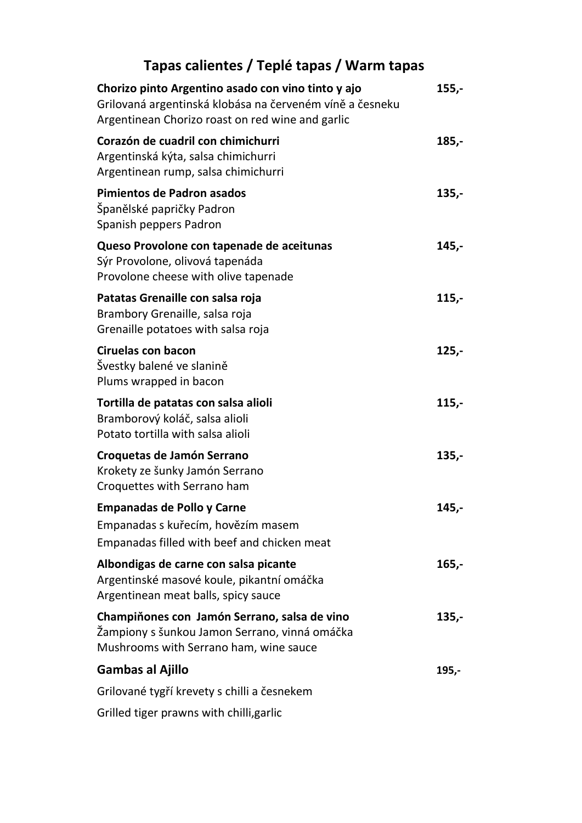### **Tapas calientes / Teplé tapas / Warm tapas**

| Chorizo pinto Argentino asado con vino tinto y ajo<br>Grilovaná argentinská klobása na červeném víně a česneku<br>Argentinean Chorizo roast on red wine and garlic | $155,-$ |
|--------------------------------------------------------------------------------------------------------------------------------------------------------------------|---------|
| Corazón de cuadril con chimichurri<br>Argentinská kýta, salsa chimichurri<br>Argentinean rump, salsa chimichurri                                                   | 185,-   |
| Pimientos de Padron asados<br>Španělské papričky Padron<br>Spanish peppers Padron                                                                                  | $135,-$ |
| Queso Provolone con tapenade de aceitunas<br>Sýr Provolone, olivová tapenáda<br>Provolone cheese with olive tapenade                                               | 145,-   |
| Patatas Grenaille con salsa roja<br>Brambory Grenaille, salsa roja<br>Grenaille potatoes with salsa roja                                                           | $115,-$ |
| <b>Ciruelas con bacon</b><br>Švestky balené ve slanině<br>Plums wrapped in bacon                                                                                   | $125,-$ |
| Tortilla de patatas con salsa alioli<br>Bramborový koláč, salsa alioli<br>Potato tortilla with salsa alioli                                                        | $115,-$ |
| Croquetas de Jamón Serrano<br>Krokety ze šunky Jamón Serrano<br>Croquettes with Serrano ham                                                                        | $135,-$ |
| <b>Empanadas de Pollo y Carne</b><br>Empanadas s kuřecím, hovězím masem<br>Empanadas filled with beef and chicken meat                                             | 145,-   |
| Albondigas de carne con salsa picante<br>Argentinské masové koule, pikantní omáčka<br>Argentinean meat balls, spicy sauce                                          | 165,-   |
| Champiňones con Jamón Serrano, salsa de vino<br>Žampiony s šunkou Jamon Serrano, vinná omáčka<br>Mushrooms with Serrano ham, wine sauce                            | 135,-   |
| <b>Gambas al Ajillo</b>                                                                                                                                            | 195,-   |
| Grilované tygří krevety s chilli a česnekem                                                                                                                        |         |
| Grilled tiger prawns with chilli, garlic                                                                                                                           |         |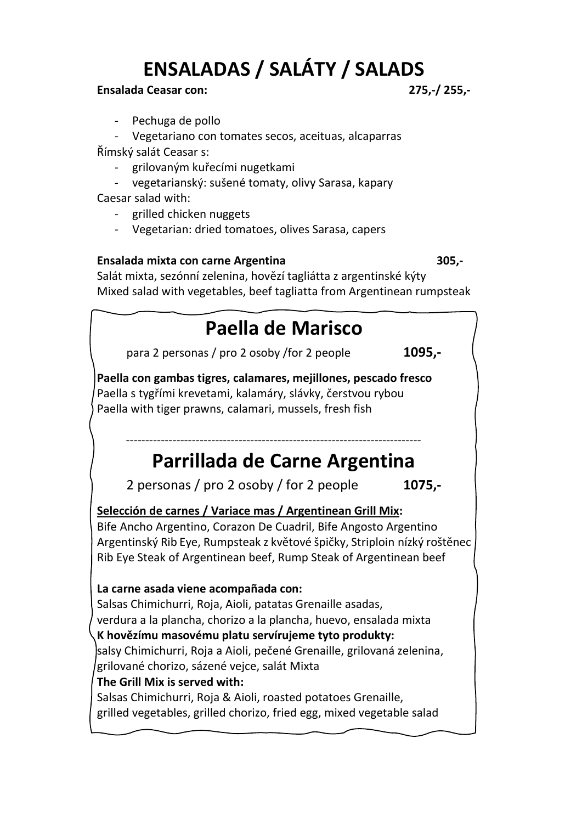# **ENSALADAS / SALÁTY / SALADS**

#### **Ensalada Ceasar con: 275,-/ 255,-**

- Pechuga de pollo

- Vegetariano con tomates secos, aceituas, alcaparras Římský salát Ceasar s:

- grilovaným kuřecími nugetkami

- vegetarianský: sušené tomaty, olivy Sarasa, kapary

Caesar salad with:

- grilled chicken nuggets
- Vegetarian: dried tomatoes, olives Sarasa, capers

#### **Ensalada mixta con carne Argentina 305,-**

Salát mixta, sezónní zelenina, hovězí tagliátta z argentinské kýty Mixed salad with vegetables, beef tagliatta from Argentinean rumpsteak

# **Paella de Marisco**

para 2 personas / pro 2 osoby /for 2 people **1095,-**

**Paella con gambas tigres, calamares, mejillones, pescado fresco**  Paella s tygřími krevetami, kalamáry, slávky, čerstvou rybou Paella with tiger prawns, calamari, mussels, fresh fish

# **Parrillada de Carne Argentina**

2 personas / pro 2 osoby / for 2 people **1075,-**

----------------------------------------------------------------------------

**Selección de carnes / Variace mas / Argentinean Grill Mix:**

Bife Ancho Argentino, Corazon De Cuadril, Bife Angosto Argentino Argentinský Rib Eye, Rumpsteak z květové špičky, Striploin nízký roštěnec Rib Eye Steak of Argentinean beef, Rump Steak of Argentinean beef

#### **La carne asada viene acompañada con:**

Salsas Chimichurri, Roja, Aioli, patatas Grenaille asadas, verdura a la plancha, chorizo a la plancha, huevo, ensalada mixta **K hovězímu masovému platu servírujeme tyto produkty:**  salsy Chimichurri, Roja a Aioli, pečené Grenaille, grilovaná zelenina, grilované chorizo, sázené vejce, salát Mixta **The Grill Mix is served with:**  Salsas Chimichurri, Roja & Aioli, roasted potatoes Grenaille, grilled vegetables, grilled chorizo, fried egg, mixed vegetable salad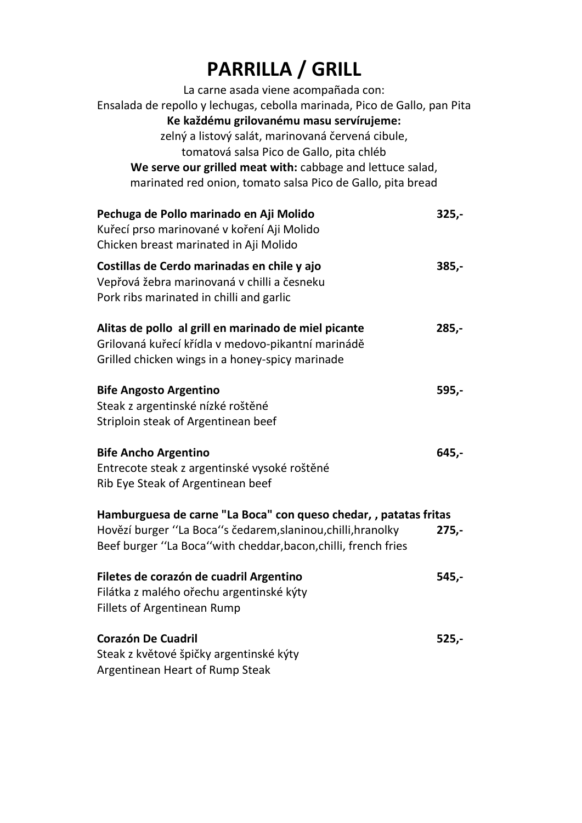# **PARRILLA / GRILL**

| La carne asada viene acompañada con:                                      |         |
|---------------------------------------------------------------------------|---------|
| Ensalada de repollo y lechugas, cebolla marinada, Pico de Gallo, pan Pita |         |
| Ke každému grilovanému masu servírujeme:                                  |         |
| zelný a listový salát, marinovaná červená cibule,                         |         |
| tomatová salsa Pico de Gallo, pita chléb                                  |         |
| We serve our grilled meat with: cabbage and lettuce salad,                |         |
| marinated red onion, tomato salsa Pico de Gallo, pita bread               |         |
| Pechuga de Pollo marinado en Aji Molido                                   | $325 -$ |
| Kuřecí prso marinované v koření Aji Molido                                |         |
| Chicken breast marinated in Aji Molido                                    |         |
| Costillas de Cerdo marinadas en chile y ajo                               | $385,-$ |
| Vepřová žebra marinovaná v chilli a česneku                               |         |
| Pork ribs marinated in chilli and garlic                                  |         |
| Alitas de pollo al grill en marinado de miel picante                      | $285,-$ |
| Grilovaná kuřecí křídla v medovo-pikantní marinádě                        |         |
| Grilled chicken wings in a honey-spicy marinade                           |         |
| <b>Bife Angosto Argentino</b>                                             | $595,-$ |
| Steak z argentinské nízké roštěné                                         |         |
| Striploin steak of Argentinean beef                                       |         |
| <b>Bife Ancho Argentino</b>                                               | 645,-   |
| Entrecote steak z argentinské vysoké roštěné                              |         |
| Rib Eye Steak of Argentinean beef                                         |         |
| Hamburguesa de carne "La Boca" con queso chedar, , patatas fritas         |         |
| Hovězí burger "La Boca"s čedarem, slaninou, chilli, hranolky              | $275,-$ |
| Beef burger "La Boca" with cheddar, bacon, chilli, french fries           |         |
| Filetes de corazón de cuadril Argentino                                   | 545,-   |
| Filátka z malého ořechu argentinské kýty                                  |         |
| <b>Fillets of Argentinean Rump</b>                                        |         |
| <b>Corazón De Cuadril</b>                                                 | $525,-$ |
| Steak z květové špičky argentinské kýty                                   |         |
| Argentinean Heart of Rump Steak                                           |         |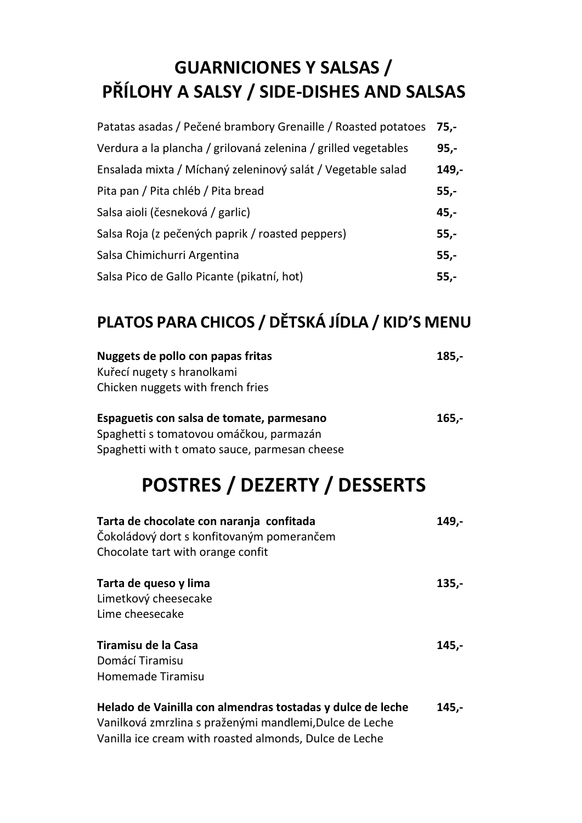# **GUARNICIONES Y SALSAS / PŘÍLOHY A SALSY / SIDE-DISHES AND SALSAS**

| Patatas asadas / Pečené brambory Grenaille / Roasted potatoes 75,- |        |
|--------------------------------------------------------------------|--------|
| Verdura a la plancha / grilovaná zelenina / grilled vegetables     | 95,-   |
| Ensalada mixta / Míchaný zeleninový salát / Vegetable salad        | 149,-  |
| Pita pan / Pita chléb / Pita bread                                 | $55,-$ |
| Salsa aioli (česneková / garlic)                                   | $45,-$ |
| Salsa Roja (z pečených paprik / roasted peppers)                   | $55,-$ |
| Salsa Chimichurri Argentina                                        | $55,-$ |
| Salsa Pico de Gallo Picante (pikatní, hot)                         | $55,-$ |

### **PLATOS PARA CHICOS / DĚTSKÁ JÍDLA / KID'S MENU**

| Nuggets de pollo con papas fritas<br>Kuřecí nugety s hranolkami<br>Chicken nuggets with french fries                                                                            | $185,-$ |
|---------------------------------------------------------------------------------------------------------------------------------------------------------------------------------|---------|
| Espaguetis con salsa de tomate, parmesano<br>Spaghetti s tomatovou omáčkou, parmazán<br>Spaghetti with t omato sauce, parmesan cheese                                           | $165,-$ |
| <b>POSTRES / DEZERTY / DESSERTS</b>                                                                                                                                             |         |
| Tarta de chocolate con naranja confitada<br>Čokoládový dort s konfitovaným pomerančem<br>Chocolate tart with orange confit                                                      | 149,-   |
| Tarta de queso y lima<br>Limetkový cheesecake<br>Lime cheesecake                                                                                                                | $135,-$ |
| Tiramisu de la Casa<br>Domácí Tiramisu<br><b>Homemade Tiramisu</b>                                                                                                              | $145,-$ |
| Helado de Vainilla con almendras tostadas y dulce de leche<br>Vanilková zmrzlina s praženými mandlemi, Dulce de Leche<br>Vanilla ice cream with roasted almonds, Dulce de Leche | 145,-   |